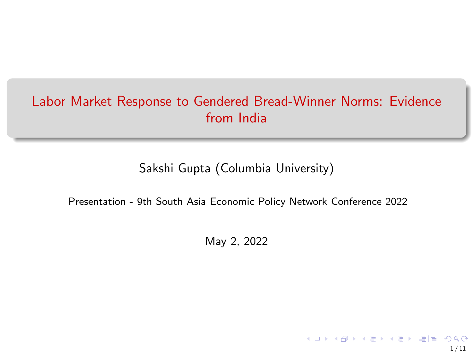# <span id="page-0-0"></span>Labor Market Response to Gendered Bread-Winner Norms: Evidence from India

### Sakshi Gupta (Columbia University)

Presentation - 9th South Asia Economic Policy Network Conference 2022

May 2, 2022

1 / 11

**Kロメ K御 K K W X X W X W X W X Y W X Y W X Y W X Y W X Y W X Y W X Y W X Y W X Y W X Y W X Y W X Y W X**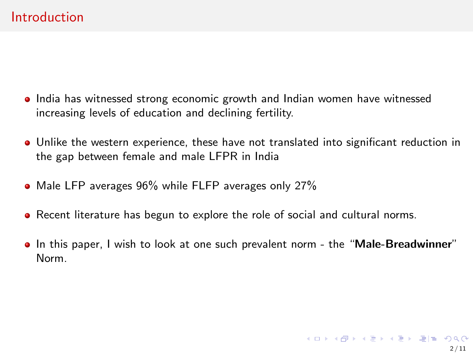### **Introduction**

- India has witnessed strong economic growth and Indian women have witnessed increasing levels of education and declining fertility.
- Unlike the western experience, these have not translated into significant reduction in the gap between female and male LFPR in India
- Male LFP averages 96% while FLFP averages only 27%
- Recent literature has begun to explore the role of social and cultural norms.
- In this paper, I wish to look at one such prevalent norm the "Male-Breadwinner" Norm.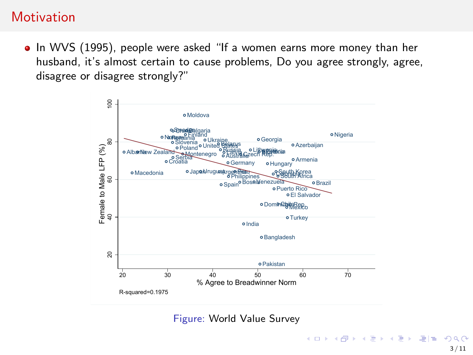## **Motivation**

• In WVS (1995), people were asked "If a women earns more money than her husband, it's almost certain to cause problems, Do you agree strongly, agree, disagree or disagree strongly?"



Figure: World Value Survey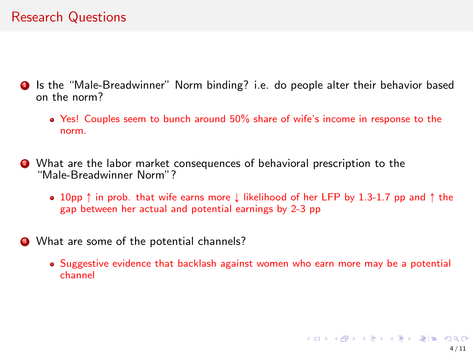## Research Questions

- **1** Is the "Male-Breadwinner" Norm binding? i.e. do people alter their behavior based on the norm?
	- Yes! Couples seem to bunch around 50% share of wife's income in response to the norm.
- <sup>2</sup> What are the labor market consequences of behavioral prescription to the "Male-Breadwinner Norm"?
	- 10pp  $\uparrow$  in prob. that wife earns more  $\downarrow$  likelihood of her LFP by 1.3-1.7 pp and  $\uparrow$  the gap between her actual and potential earnings by 2-3 pp
- <sup>3</sup> What are some of the potential channels?
	- Suggestive evidence that backlash against women who earn more may be a potential channel

K ロ ▶ K @ ▶ K 글 ▶ K 글 ▶ \_글(날) 900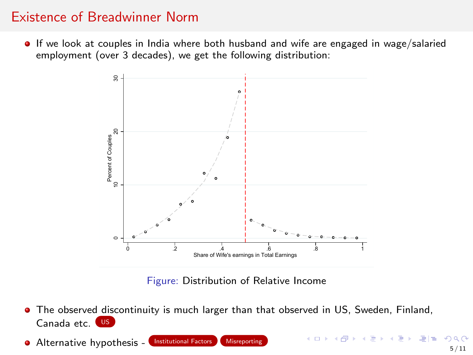### <span id="page-4-0"></span>Existence of Breadwinner Norm

<span id="page-4-1"></span>**If we look at couples in India where both husband and wife are engaged in wage/salaried** employment (over 3 decades), we get the following distribution:



Figure: Distribution of Relative Income

- The observed discontinuity is much larger than that observed in US, Sweden, Finland, Canada etc. [US](#page-11-0)
- Alternative hypothesis [Institutional Factors](#page-12-0) [Misreporting](#page-15-0)

KID KARK KERKEN EIE KOO 5 / 11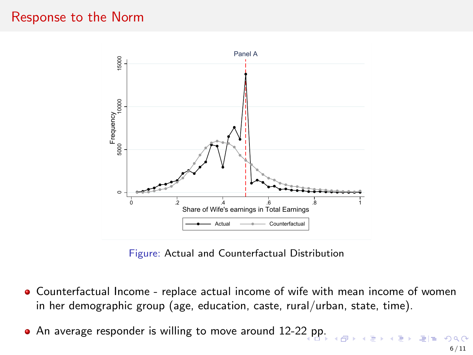### Response to the Norm



Figure: Actual and Counterfactual Distribution

- Counterfactual Income replace actual income of wife with mean income of women in her demographic group (age, education, caste, rural/urban, state, time).
- An average responder is willing to move around 12-2[2 p](#page-4-0)[p.](#page-6-0)

E ▶ ४ 분 ▶ (분)님 (⊙) Q ⊙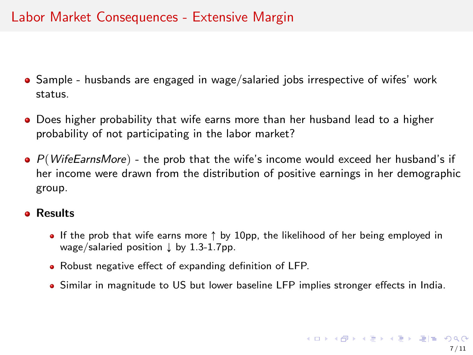## <span id="page-6-0"></span>Labor Market Consequences - Extensive Margin

- Sample husbands are engaged in wage/salaried jobs irrespective of wifes' work status.
- Does higher probability that wife earns more than her husband lead to a higher probability of not participating in the labor market?
- $\bullet$  P(WifeEarnsMore) the prob that the wife's income would exceed her husband's if her income were drawn from the distribution of positive earnings in her demographic group.

#### **e** Results

- If the prob that wife earns more  $\uparrow$  by 10pp, the likelihood of her being employed in wage/salaried position  $\downarrow$  by 1.3-1.7pp.
- Robust negative effect of expanding definition of LFP.
- Similar in magnitude to US but lower baseline LFP implies stronger effects in India.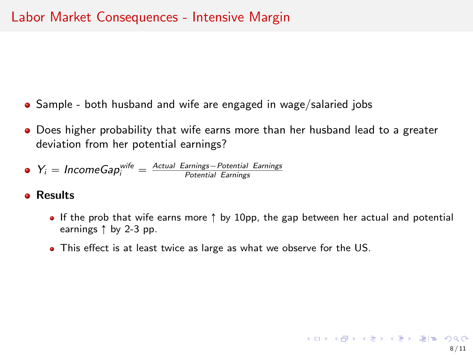- Sample both husband and wife are engaged in wage/salaried jobs
- Does higher probability that wife earns more than her husband lead to a greater deviation from her potential earnings?

• 
$$
Y_i = IncomeGap_i^{wife} = \frac{Actual\ Earning}{{Potential\ Earning}}
$$

#### **o** Results

- If the prob that wife earns more  $\uparrow$  by 10pp, the gap between her actual and potential earnings  $\uparrow$  by 2-3 pp.
- This effect is at least twice as large as what we observe for the US.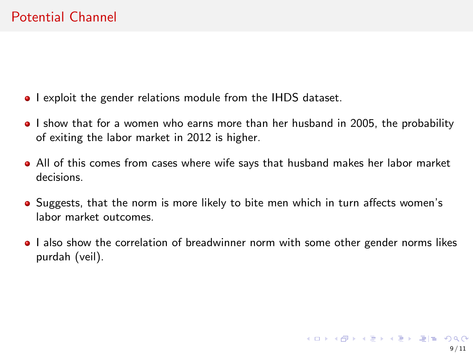- I exploit the gender relations module from the IHDS dataset.
- I show that for a women who earns more than her husband in 2005, the probability of exiting the labor market in 2012 is higher.
- All of this comes from cases where wife says that husband makes her labor market decisions.
- Suggests, that the norm is more likely to bite men which in turn affects women's labor market outcomes.
- I also show the correlation of breadwinner norm with some other gender norms likes purdah (veil).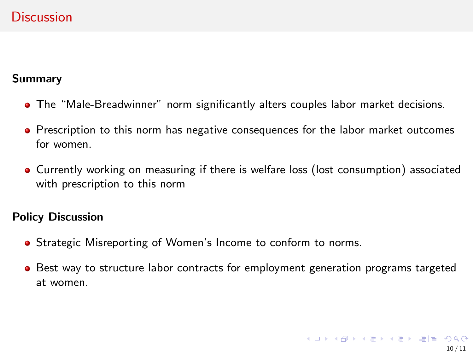## **Discussion**

#### Summary

- The "Male-Breadwinner" norm significantly alters couples labor market decisions.
- Prescription to this norm has negative consequences for the labor market outcomes for women.
- Currently working on measuring if there is welfare loss (lost consumption) associated with prescription to this norm

#### Policy Discussion

- **•** Strategic Misreporting of Women's Income to conform to norms.
- **Best way to structure labor contracts for employment generation programs targeted** at women.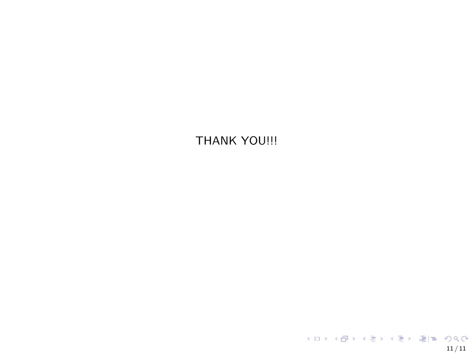THANK YOU!!!

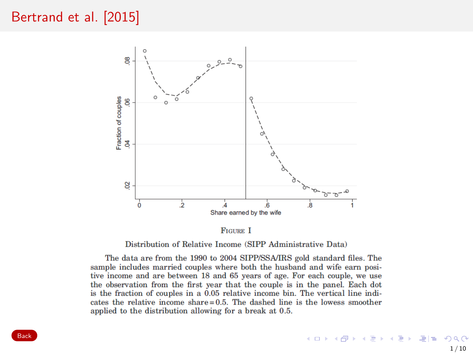## <span id="page-11-0"></span>[Bertrand et al. \[2015\]](#page-20-0)



**FIGURE I** 

Distribution of Relative Income (SIPP Administrative Data)

The data are from the 1990 to 2004 SIPP/SSA/IRS gold standard files. The sample includes married couples where both the husband and wife earn positive income and are between 18 and 65 years of age. For each couple, we use the observation from the first year that the couple is in the panel. Each dot is the fraction of couples in a  $0.05$  relative income bin. The vertical line indicates the relative income share=0.5. The dashed line is the lowess smoother applied to the distribution allowing for a break at 0.5.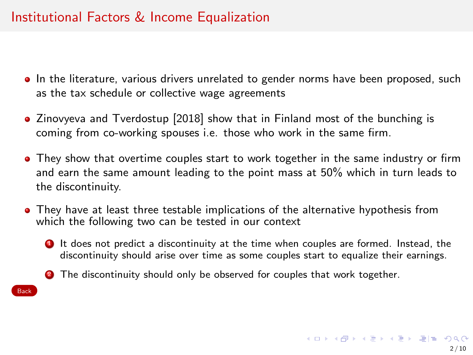## Institutional Factors & Income Equalization

- <span id="page-12-0"></span>**In the literature, various drivers unrelated to gender norms have been proposed, such** as the tax schedule or collective wage agreements
- [Zinovyeva and Tverdostup \[2018\]](#page-20-1) show that in Finland most of the bunching is coming from co-working spouses i.e. those who work in the same firm.
- They show that overtime couples start to work together in the same industry or firm and earn the same amount leading to the point mass at 50% which in turn leads to the discontinuity.
- They have at least three testable implications of the alternative hypothesis from which the following two can be tested in our context
	- **1** It does not predict a discontinuity at the time when couples are formed. Instead, the discontinuity should arise over time as some couples start to equalize their earnings.
	- **2** The discontinuity should only be observed for couples that work together.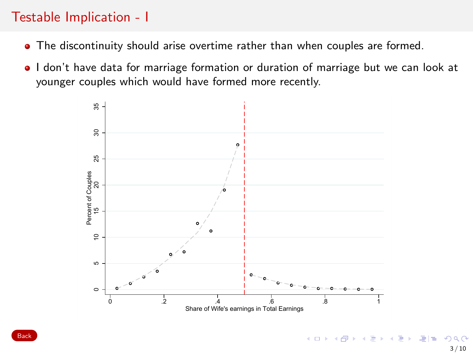## Testable Implication - I

- The discontinuity should arise overtime rather than when couples are formed.
- I don't have data for marriage formation or duration of marriage but we can look at younger couples which would have formed more recently.



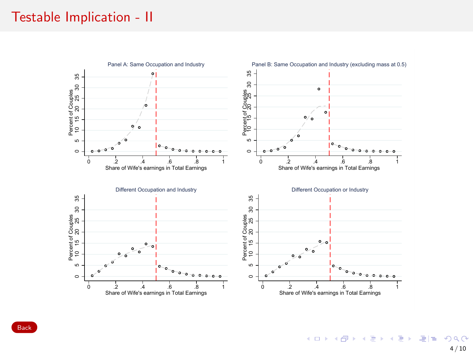### Testable Implication - II



K ロ X K 御 X K 君 X K 君 X 〈君 X 〈君〉 ④ Q ⊙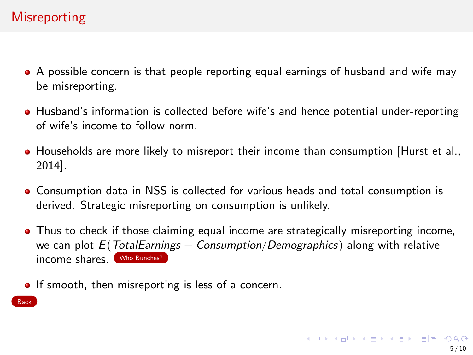# **Misreporting**

- <span id="page-15-0"></span>A possible concern is that people reporting equal earnings of husband and wife may be misreporting.
- Husband's information is collected before wife's and hence potential under-reporting of wife's income to follow norm.
- Households are more likely to misreport their income than consumption [\[Hurst et al.,](#page-20-2) [2014\]](#page-20-2).
- Consumption data in NSS is collected for various heads and total consumption is derived. Strategic misreporting on consumption is unlikely.
- Thus to check if those claiming equal income are strategically misreporting income, we can plot  $E(TotalEarnings - Consumption/Demographies)$  along with relative income shares. [Who Bunches?](#page-19-0)
- **If smooth, then misreporting is less of a concern.**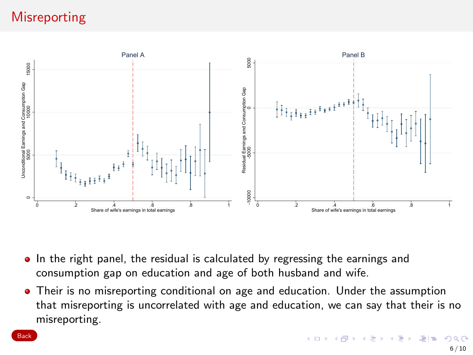# **Misreporting**



- In the right panel, the residual is calculated by regressing the earnings and consumption gap on education and age of both husband and wife.
- Their is no misreporting conditional on age and education. Under the assumption that misreporting is uncorrelated with age and education, we can say that their is no misreporting.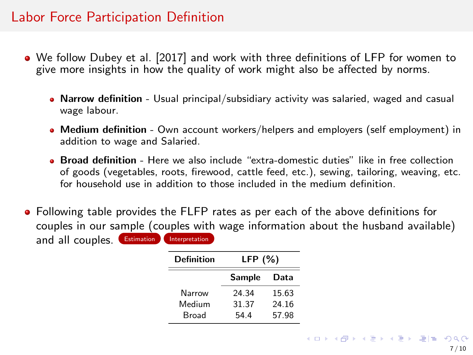### Labor Force Participation Definition

- We follow [Dubey et al. \[2017\]](#page-20-3) and work with three definitions of LFP for women to give more insights in how the quality of work might also be affected by norms.
	- Narrow definition Usual principal/subsidiary activity was salaried, waged and casual wage labour.
	- Medium definition Own account workers/helpers and employers (self employment) in addition to wage and Salaried.
	- **Broad definition** Here we also include "extra-domestic duties" like in free collection of goods (vegetables, roots, firewood, cattle feed, etc.), sewing, tailoring, weaving, etc. for household use in addition to those included in the medium definition.
- Following table provides the FLFP rates as per each of the above definitions for couples in our sample (couples with wage information about the husband available) and all couples. **[Estimation](#page-0-0)** [Interpretation](#page-0-0)

| Definition | LFP $(%)$     |       |
|------------|---------------|-------|
|            | <b>Sample</b> | Data  |
| Narrow     | 24.34         | 15.63 |
| Medium     | 31.37         | 24.16 |
| Broad      | 54.4          | 57.98 |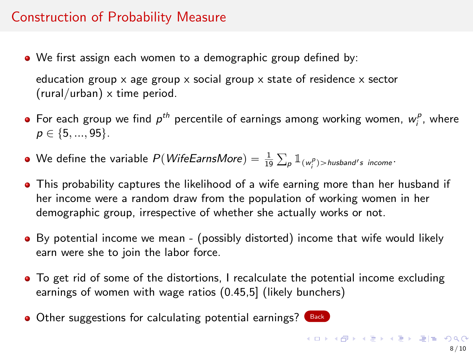## Construction of Probability Measure

We first assign each women to a demographic group defined by:

education group  $x$  age group  $x$  social group  $x$  state of residence  $x$  sector (rural/urban) x time period.

- For each group we find  $p^{th}$  percentile of earnings among working women,  $w^p_i$ , where  $p \in \{5, ..., 95\}.$
- We define the variable  $P(\textit{WifeEarnsMore}) = \frac{1}{19}$  $\sum_{\mathcal{P}} \mathbb{1}_{(w_i^{\mathcal{P}})>$ husband's income $\cdot$
- This probability captures the likelihood of a wife earning more than her husband if her income were a random draw from the population of working women in her demographic group, irrespective of whether she actually works or not.
- By potential income we mean (possibly distorted) income that wife would likely earn were she to join the labor force.
- To get rid of some of the distortions, I recalculate the potential income excluding earnings of women with wage ratios (0.45,5] (likely bunchers)
- Other suggestions for calculating potential earnings? [Back](#page-0-0)

K ロ K K @ K K 통 K X 통 X 통 및 B Y Q Q Q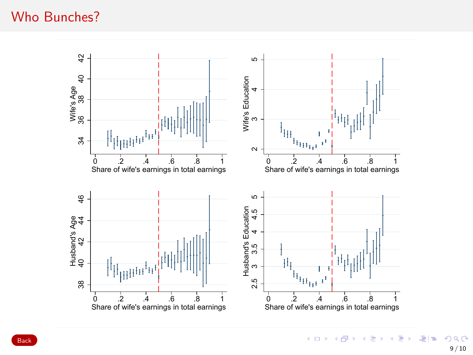### <span id="page-19-0"></span>Who Bunches?



メロト メタト メミト メミト 국(국  $299$ 9 / 10